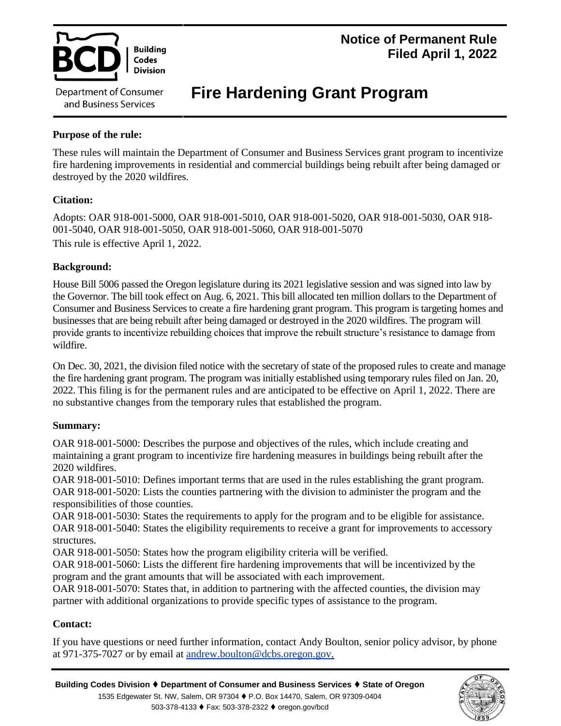

# **Notice of Permanent Rule Filed April 1, 2022**

# **Fire Hardening Grant Program**

# **Purpose of the rule:**

These rules will maintain the Department of Consumer and Business Services grant program to incentivize fire hardening improvements in residential and commercial buildings being rebuilt after being damaged or destroyed by the 2020 wildfires.

# **Citation:**

Adopts: OAR 918-001-5000, OAR 918-001-5010, OAR 918-001-5020, OAR 918-001-5030, OAR 918- 001-5040, OAR 918-001-5050, OAR 918-001-5060, OAR 918-001-5070 This rule is effective April 1, 2022.

# **Background:**

House Bill 5006 passed the Oregon legislature during its 2021 legislative session and was signed into law by the Governor. The bill took effect on Aug. 6, 2021. This bill allocated ten million dollars to the Department of Consumer and Business Services to create a fire hardening grant program. This program is targeting homes and businesses that are being rebuilt after being damaged or destroyed in the 2020 wildfires. The program will provide grants to incentivize rebuilding choices that improve the rebuilt structure's resistance to damage from wildfire.

On Dec. 30, 2021, the division filed notice with the secretary of state of the proposed rules to create and manage the fire hardening grant program. The program was initially established using temporary rules filed on Jan. 20, 2022. This filing is for the permanent rules and are anticipated to be effective on April 1, 2022. There are no substantive changes from the temporary rules that established the program.

## **Summary:**

OAR 918-001-5000: Describes the purpose and objectives of the rules, which include creating and maintaining a grant program to incentivize fire hardening measures in buildings being rebuilt after the 2020 wildfires.

OAR 918-001-5010: Defines important terms that are used in the rules establishing the grant program. OAR 918-001-5020: Lists the counties partnering with the division to administer the program and the responsibilities of those counties.

OAR 918-001-5030: States the requirements to apply for the program and to be eligible for assistance. OAR 918-001-5040: States the eligibility requirements to receive a grant for improvements to accessory structures.

OAR 918-001-5050: States how the program eligibility criteria will be verified.

OAR 918-001-5060: Lists the different fire hardening improvements that will be incentivized by the program and the grant amounts that will be associated with each improvement.

OAR 918-001-5070: States that, in addition to partnering with the affected counties, the division may partner with additional organizations to provide specific types of assistance to the program.

## **Contact:**

If you have questions or need further information, contact Andy Boulton, senior policy advisor, by phone at 971-375-7027 or by email at andrew.boulton@dcbs.oregon.gov.

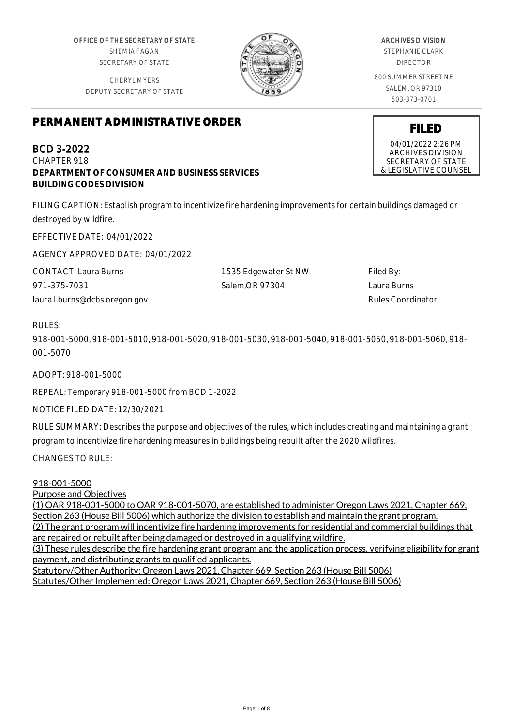OFFICE OF THE SECRETARY OF STATE SHEMIA FAGAN SECRETARY OF STATE

CHERYL MYERS DEPUTY SECRETARY OF STATE



#### ARCHIVES DIVISION

STEPHANIE CLARK DIRECTOR

800 SUMMER STREET NE SALEM, OR 97310 503-373-0701

# **PERMANENT ADMINISTRATIVE ORDER**

BCD 3-2022 CHAPTER 918 **DEPARTMENT OF CONSUMER AND BUSINESS SERVICES BUILDING CODES DIVISION**

FILING CAPTION: Establish program to incentivize fire hardening improvements for certain buildings damaged or destroyed by wildfire.

EFFECTIVE DATE: 04/01/2022

AGENCY APPROVED DATE: 04/01/2022

CONTACT: Laura Burns 971-375-7031 laura.l.burns@dcbs.oregon.gov

1535 Edgewater St NW Salem,OR 97304

Filed By: Laura Burns Rules Coordinator

## RULES:

918-001-5000, 918-001-5010, 918-001-5020, 918-001-5030, 918-001-5040, 918-001-5050, 918-001-5060, 918- 001-5070

ADOPT: 918-001-5000

REPEAL: Temporary 918-001-5000 from BCD 1-2022

NOTICE FILED DATE: 12/30/2021

RULE SUMMARY: Describes the purpose and objectives of the rules, which includes creating and maintaining a grant program to incentivize fire hardening measures in buildings being rebuilt after the 2020 wildfires.

CHANGES TO RULE:

#### 918-001-5000

Purpose and Objectives

(1) OAR 918-001-5000 to OAR 918-001-5070, are established to administer Oregon Laws 2021, Chapter 669, Section 263 (House Bill 5006) which authorize the division to establish and maintain the grant program.

(2) The grant program will incentivize fire hardening improvements for residential and commercial buildings that are repaired or rebuilt after being damaged or destroyed in a qualifying wildfire.

(3) These rules describe the fire hardening grant program and the application process, verifying eligibility for grant payment, and distributing grants to qualified applicants.

Statutory/Other Authority: Oregon Laws 2021, Chapter 669, Section 263 (House Bill 5006) Statutes/Other Implemented: Oregon Laws 2021, Chapter 669, Section 263 (House Bill 5006)

04/01/2022 2:26 PM ARCHIVES DIVISION SECRETARY OF STATE & LEGISLATIVE COUNSEL

**FILED**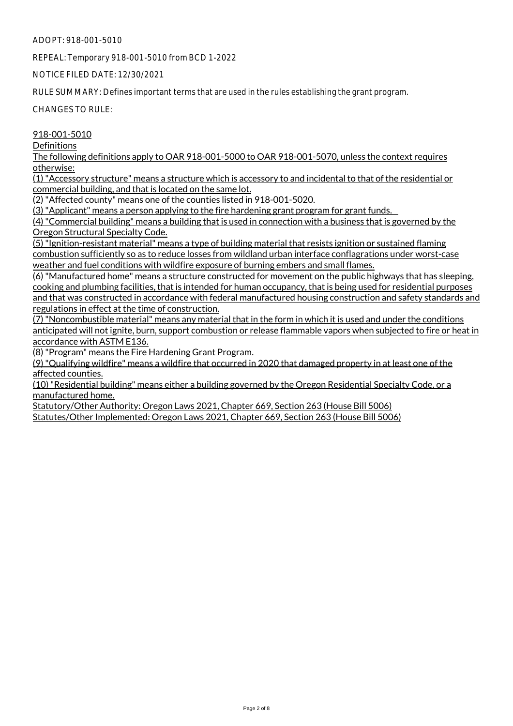REPEAL: Temporary 918-001-5010 from BCD 1-2022

NOTICE FILED DATE: 12/30/2021

RULE SUMMARY: Defines important terms that are used in the rules establishing the grant program.

CHANGES TO RULE:

#### 918-001-5010

**Definitions** 

The following definitions apply to OAR 918-001-5000 to OAR 918-001-5070, unless the context requires otherwise:

(1)"Accessory structure" means a structure which is accessory to and incidental to that of the residential or commercial building, and that is located on the same lot.

(2)"Affected county" means one of the counties listed in 918-001-5020.

(3)"Applicant" means a person applying to the fire hardening grant program for grant funds.

(4) "Commercial building" means a building that is used in connection with a business that is governed by the Oregon Structural Specialty Code.

(5) "Ignition-resistant material" means a type of building material that resists ignition or sustained flaming combustion sufficiently so as to reduce losses from wildland urban interface conflagrations under worst-case weather and fuel conditions with wildfire exposure of burning embers and small flames.

(6)"Manufactured home" means a structure constructed for movement on the public highways that has sleeping, cooking and plumbing facilities, that is intended for human occupancy, that is being used for residential purposes and that was constructed in accordance with federal manufactured housing construction and safety standards and regulations in effect at the time of construction.

(7)"Noncombustible material" means any material that in the form in which it is used and under the conditions anticipated will not ignite, burn, support combustion or release flammable vapors when subjected to fire or heat in accordance with ASTM E136.

(8)"Program" means the Fire Hardening Grant Program.

(9)"Qualifying wildfire" means a wildfire that occurred in 2020 that damaged property in at least one of the affected counties.

(10) "Residential building" means either a building governed by the Oregon Residential Specialty Code, or a manufactured home.

Statutory/Other Authority: Oregon Laws 2021, Chapter 669, Section 263 (House Bill 5006) Statutes/Other Implemented: Oregon Laws 2021, Chapter 669, Section 263 (House Bill 5006)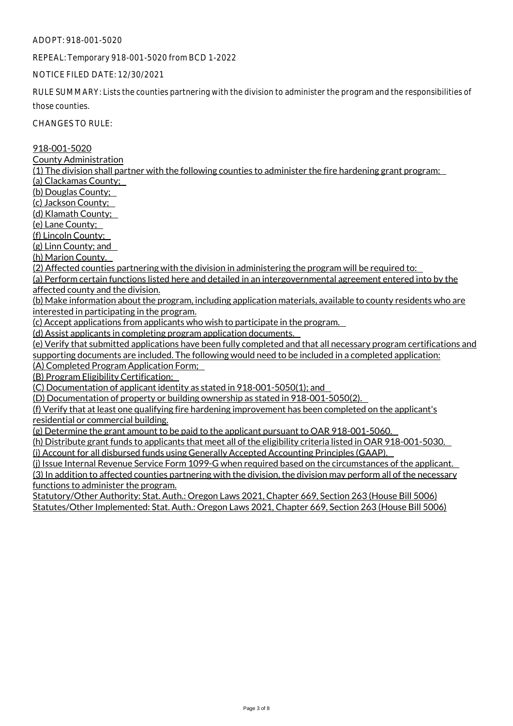REPEAL: Temporary 918-001-5020 from BCD 1-2022

#### NOTICE FILED DATE: 12/30/2021

RULE SUMMARY: Lists the counties partnering with the division to administer the program and the responsibilities of

those counties.

CHANGES TO RULE:

918-001-5020

County Administration

(1) The division shall partner with the following counties to administer the fire hardening grant program:

(a) Clackamas County;

(b) Douglas County;

(c) Jackson County;

(d) Klamath County;

(e) Lane County;

(f) Lincoln County;

(g) Linn County; and

(h) Marion County.

(2) Affected counties partnering with the division in administering the program will be required to:

(a) Perform certain functions listed here and detailed in an intergovernmental agreement entered into by the affected county and the division.

(b) Make information about the program, including application materials, available to county residents who are interested in participating in the program.

(c) Accept applications from applicants who wish to participate in the program.

(d) Assist applicants in completing program application documents.

(e) Verify that submitted applications have been fully completed and that all necessary program certifications and supporting documents are included. The following would need to be included in a completed application:

(A) Completed Program Application Form;

(B) Program Eligibility Certification;

(C) Documentation of applicant identity as stated in 918-001-5050(1); and

(D) Documentation of property or building ownership as stated in 918-001-5050(2).

(f) Verify that at least one qualifying fire hardening improvement has been completed on the applicant's residential or commercial building.

(g) Determine the grant amount to be paid to the applicant pursuant to OAR 918-001-5060.

(h) Distribute grant funds to applicants that meet all of the eligibility criteria listed in OAR 918-001-5030. (i) Account for all disbursed funds using Generally Accepted Accounting Principles (GAAP).

(j) Issue Internal Revenue Service Form 1099-G when required based on the circumstances of the applicant. (3) In addition to affected counties partnering with the division, the division may perform all of the necessary functions to administer the program.

Statutory/Other Authority: Stat. Auth.: Oregon Laws 2021, Chapter 669, Section 263 (House Bill 5006) Statutes/Other Implemented: Stat. Auth.: Oregon Laws 2021, Chapter 669, Section 263 (House Bill 5006)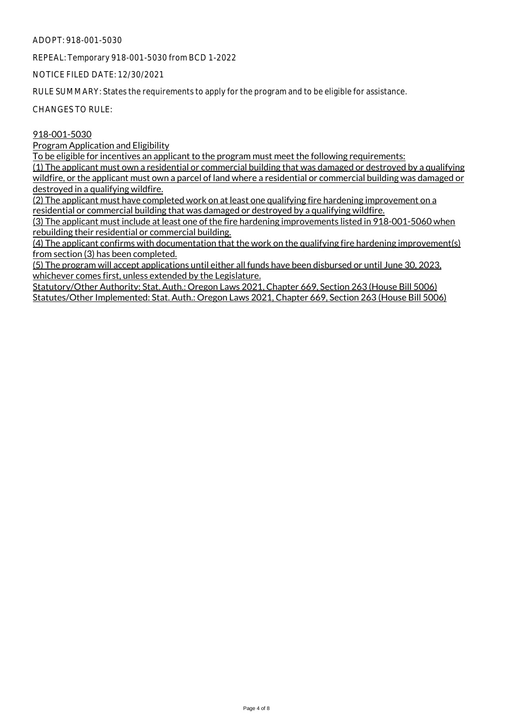REPEAL: Temporary 918-001-5030 from BCD 1-2022

NOTICE FILED DATE: 12/30/2021

RULE SUMMARY: States the requirements to apply for the program and to be eligible for assistance.

CHANGES TO RULE:

#### 918-001-5030

Program Application and Eligibility

To be eligible for incentives an applicant to the program must meet the following requirements:

(1) The applicant must own a residential or commercial building that was damaged or destroyed by a qualifying wildfire, or the applicant must own a parcel of land where a residential or commercial building was damaged or destroyed in a qualifying wildfire.

(2) The applicant must have completed work on at least one qualifying fire hardening improvement on a residential or commercial building that was damaged or destroyed by a qualifying wildfire.

(3) The applicant must include at least one of the fire hardening improvements listed in 918-001-5060 when rebuilding their residential or commercial building.

 $(4)$  The applicant confirms with documentation that the work on the qualifying fire hardening improvement(s) from section (3) has been completed.

(5) The program will accept applications until either all funds have been disbursed or until June 30, 2023, whichever comes first, unless extended by the Legislature.

Statutory/Other Authority: Stat. Auth.: Oregon Laws 2021, Chapter 669, Section 263 (House Bill 5006) Statutes/Other Implemented: Stat. Auth.: Oregon Laws 2021, Chapter 669, Section 263 (House Bill 5006)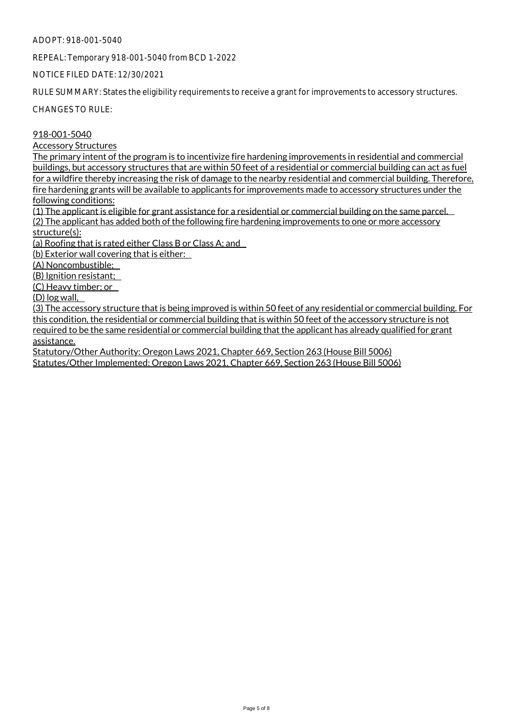REPEAL: Temporary 918-001-5040 from BCD 1-2022

NOTICE FILED DATE: 12/30/2021

RULE SUMMARY: States the eligibility requirements to receive a grant for improvements to accessory structures.

CHANGES TO RULE:

918-001-5040

Accessory Structures

The primary intent of the program is to incentivize fire hardening improvements in residential and commercial buildings, but accessory structures that are within 50 feet of a residential or commercial building can act as fuel for a wildfire thereby increasing the risk of damage to the nearby residential and commercial building. Therefore, fire hardening grants will be available to applicants for improvements made to accessory structures under the following conditions:

(1) The applicant is eligible for grant assistance for a residential or commercial building on the same parcel. (2) The applicant has added both of the following fire hardening improvements to one or more accessory structure(s):

(a) Roofing that is rated either Class B or Class A; and

(b) Exterior wall covering that is either:

(A) Noncombustible;

(B) Ignition resistant;

(C) Heavy timber; or

(D) log wall,

(3) The accessory structure that is being improved is within 50 feet of any residential or commercial building. For this condition, the residential or commercial building that is within 50 feet of the accessory structure is not required to be the same residential or commercial building that the applicant has already qualified for grant assistance.

Statutory/Other Authority: Oregon Laws 2021, Chapter 669, Section 263 (House Bill 5006) Statutes/Other Implemented: Oregon Laws 2021, Chapter 669, Section 263 (House Bill 5006)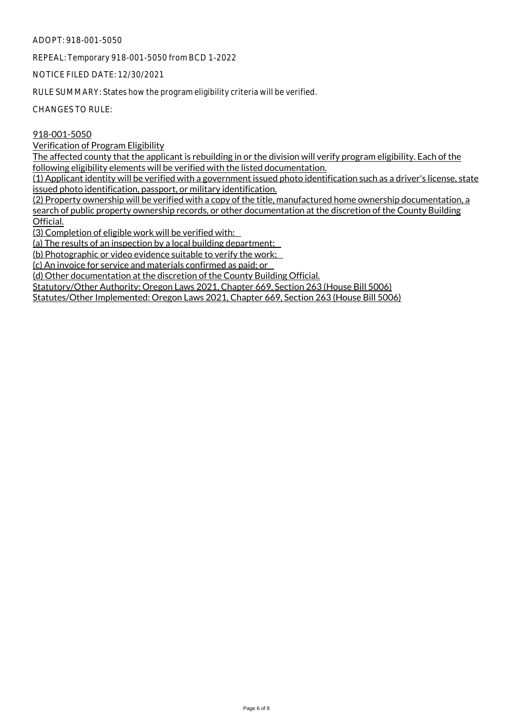REPEAL: Temporary 918-001-5050 from BCD 1-2022

NOTICE FILED DATE: 12/30/2021

RULE SUMMARY: States how the program eligibility criteria will be verified.

CHANGES TO RULE:

#### 918-001-5050

Verification of Program Eligibility

The affected county that the applicant is rebuilding in or the division will verify program eligibility. Each of the following eligibility elements will be verified with the listed documentation.

 $(1)$  Applicant identity will be verified with a government issued photo identification such as a driver's license, state issued photo identification, passport, or military identification.

 $(2)$  Property ownership will be verified with a copy of the title, manufactured home ownership documentation, a search of public property ownership records, or other documentation at the discretion of the County Building Official.

(3) Completion of eligible work will be verified with:

(a) The results of an inspection by a local building department;

(b) Photographic or video evidence suitable to verify the work;

(c) An invoice for service and materials confirmed as paid; or

(d) Other documentation at the discretion of the County Building Official.

Statutory/Other Authority: Oregon Laws 2021, Chapter 669, Section 263 (House Bill 5006)

Statutes/Other Implemented: Oregon Laws 2021, Chapter 669, Section 263 (House Bill 5006)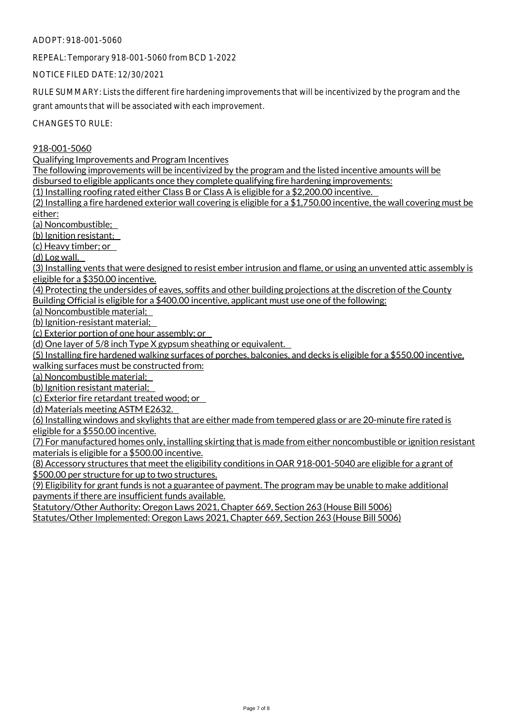REPEAL: Temporary 918-001-5060 from BCD 1-2022

NOTICE FILED DATE: 12/30/2021

RULE SUMMARY: Lists the different fire hardening improvements that will be incentivized by the program and the

grant amounts that will be associated with each improvement.

CHANGES TO RULE:

918-001-5060

Qualifying Improvements and Program Incentives

The following improvements will be incentivized by the program and the listed incentive amounts will be disbursed to eligible applicants once they complete qualifying fire hardening improvements:

(1) Installing roofing rated either Class B or Class A is eligible for a \$2,200.00 incentive.

(2) Installing a fire hardened exterior wall covering is eligible for a \$1,750.00 incentive, the wall covering must be either:

(a) Noncombustible;

(b) Ignition resistant;

(c) Heavy timber; or

(d) Log wall.

(3) Installing vents that were designed to resist ember intrusion and flame, or using an unvented attic assembly is eligible for a \$350.00 incentive.

(4) Protecting the undersides of eaves, soffits and other building projections at the discretion of the County Building Official is eligible for a \$400.00 incentive, applicant must use one of the following:

(a) Noncombustible material;

(b) Ignition-resistant material;

(c) Exterior portion of one hour assembly; or

(d) One layer of 5/8 inch Type X gypsum sheathing or equivalent.

(5) Installing fire hardened walking surfaces of porches, balconies, and decks is eligible for a \$550.00 incentive, walking surfaces must be constructed from:

(a) Noncombustible material;

(b) Ignition resistant material;

(c) Exterior fire retardant treated wood; or

(d) Materials meeting ASTM E2632.

(6) Installing windows and skylights that are either made from tempered glass or are 20-minute fire rated is eligible for a \$550.00 incentive.

(7) For manufactured homes only, installing skirting that is made from either noncombustible or ignition resistant materials is eligible for a \$500.00 incentive.

(8) Accessory structures that meet the eligibility conditions in OAR 918-001-5040 are eligible for a grant of \$500.00 per structure for up to two structures.

(9) Eligibility for grant funds is not a guarantee of payment. The program may be unable to make additional payments if there are insufficient funds available.

Statutory/Other Authority: Oregon Laws 2021, Chapter 669, Section 263 (House Bill 5006)

Statutes/Other Implemented: Oregon Laws 2021, Chapter 669, Section 263 (House Bill 5006)